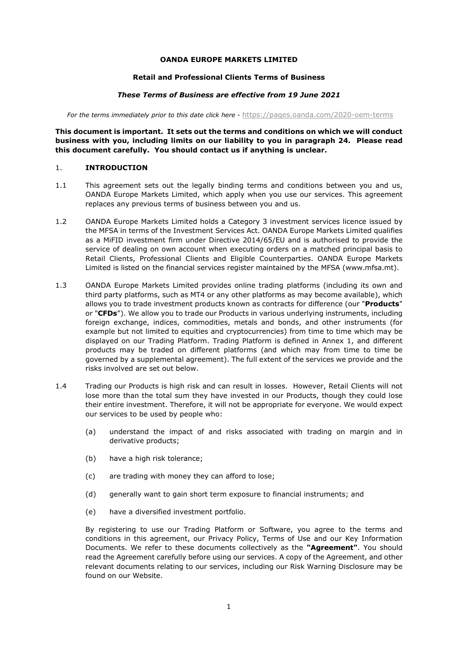#### **OANDA EUROPE MARKETS LIMITED**

#### **Retail and Professional Clients Terms of Business**

#### *These Terms of Business are effective from 19 June 2021*

For the terms immediately prior to this date click here - https://pages.oanda.com/2020-oem-terms

**This document is important. It sets out the terms and conditions on which we will conduct business with you, including limits on our liability to you in paragraph [24.](#page-18-0) Please read this document carefully. You should contact us if anything is unclear.** 

#### 1. **INTRODUCTION**

- 1.1 This agreement sets out the legally binding terms and conditions between you and us, OANDA Europe Markets Limited, which apply when you use our services. This agreement replaces any previous terms of business between you and us.
- 1.2 OANDA Europe Markets Limited holds a Category 3 investment services licence issued by the MFSA in terms of the Investment Services Act. OANDA Europe Markets Limited qualifies as a MiFID investment firm under Directive 2014/65/EU and is authorised to provide the service of dealing on own account when executing orders on a matched principal basis to Retail Clients, Professional Clients and Eligible Counterparties. OANDA Europe Markets Limited is listed on the financial services register maintained by the MFSA (www.mfsa.mt).
- 1.3 OANDA Europe Markets Limited provides online trading platforms (including its own and third party platforms, such as MT4 or any other platforms as may become available), which allows you to trade investment products known as contracts for difference (our "**Products**" or "**CFDs**"). We allow you to trade our Products in various underlying instruments, including foreign exchange, indices, commodities, metals and bonds, and other instruments (for example but not limited to equities and cryptocurrencies) from time to time which may be displayed on our Trading Platform. Trading Platform is defined in Annex 1, and different products may be traded on different platforms (and which may from time to time be governed by a supplemental agreement). The full extent of the services we provide and the risks involved are set out below.
- 1.4 Trading our Products is high risk and can result in losses. However, Retail Clients will not lose more than the total sum they have invested in our Products, though they could lose their entire investment. Therefore, it will not be appropriate for everyone. We would expect our services to be used by people who:
	- (a) understand the impact of and risks associated with trading on margin and in derivative products;
	- (b) have a high risk tolerance;
	- (c) are trading with money they can afford to lose;
	- (d) generally want to gain short term exposure to financial instruments; and
	- (e) have a diversified investment portfolio.

By registering to use our Trading Platform or Software, you agree to the terms and conditions in this agreement, our Privacy Policy, Terms of Use and our Key Information Documents. We refer to these documents collectively as the **"Agreement"**. You should read the Agreement carefully before using our services. A copy of the Agreement, and other relevant documents relating to our services, including our Risk Warning Disclosure may be found on our Website.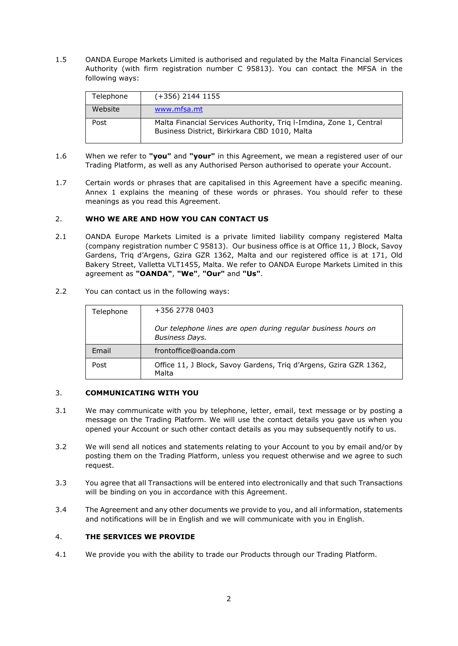1.5 OANDA Europe Markets Limited is authorised and regulated by the Malta Financial Services Authority (with firm registration number C 95813). You can contact the MFSA in the following ways:

| Telephone | (+356) 2144 1155                                                                                                    |
|-----------|---------------------------------------------------------------------------------------------------------------------|
| Website   | www.mfsa.mt                                                                                                         |
| Post      | Malta Financial Services Authority, Triq I-Imdina, Zone 1, Central<br>Business District, Birkirkara CBD 1010, Malta |

- 1.6 When we refer to **"you"** and **"your"** in this Agreement, we mean a registered user of our Trading Platform, as well as any Authorised Person authorised to operate your Account.
- 1.7 Certain words or phrases that are capitalised in this Agreement have a specific meaning. Annex 1 explains the meaning of these words or phrases. You should refer to these meanings as you read this Agreement.

# <span id="page-1-0"></span>2. **WHO WE ARE AND HOW YOU CAN CONTACT US**

- 2.1 OANDA Europe Markets Limited is a private limited liability company registered Malta (company registration number C 95813). Our business office is at Office 11, J Block, Savoy Gardens, Triq d'Argens, Gzira GZR 1362, Malta and our registered office is at 171, Old Bakery Street, Valletta VLT1455, Malta. We refer to OANDA Europe Markets Limited in this agreement as **"OANDA"**, **"We"**, **"Our"** and **"Us"**.
- 2.2 You can contact us in the following ways:

| Telephone | +356 2778 0403                                                    |
|-----------|-------------------------------------------------------------------|
|           |                                                                   |
|           | Our telephone lines are open during regular business hours on     |
|           |                                                                   |
|           | <b>Business Days.</b>                                             |
| Email     | frontoffice@oanda.com                                             |
|           |                                                                   |
| Post      | Office 11, J Block, Savoy Gardens, Triq d'Argens, Gzira GZR 1362, |
|           |                                                                   |
|           | Malta                                                             |

## 3. **COMMUNICATING WITH YOU**

- 3.1 We may communicate with you by telephone, letter, email, text message or by posting a message on the Trading Platform. We will use the contact details you gave us when you opened your Account or such other contact details as you may subsequently notify to us.
- 3.2 We will send all notices and statements relating to your Account to you by email and/or by posting them on the Trading Platform, unless you request otherwise and we agree to such request.
- 3.3 You agree that all Transactions will be entered into electronically and that such Transactions will be binding on you in accordance with this Agreement.
- 3.4 The Agreement and any other documents we provide to you, and all information, statements and notifications will be in English and we will communicate with you in English.

# 4. **THE SERVICES WE PROVIDE**

4.1 We provide you with the ability to trade our Products through our Trading Platform.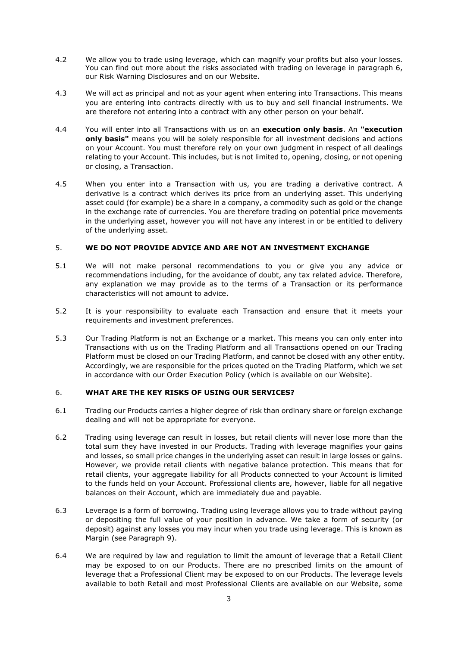- 4.2 We allow you to trade using leverage, which can magnify your profits but also your losses. You can find out more about the risks associated with trading on leverage in paragraph [6,](#page-2-0) our Risk Warning Disclosures and on our Website.
- 4.3 We will act as principal and not as your agent when entering into Transactions. This means you are entering into contracts directly with us to buy and sell financial instruments. We are therefore not entering into a contract with any other person on your behalf.
- 4.4 You will enter into all Transactions with us on an **execution only basis**. An **"execution only basis"** means you will be solely responsible for all investment decisions and actions on your Account. You must therefore rely on your own judgment in respect of all dealings relating to your Account. This includes, but is not limited to, opening, closing, or not opening or closing, a Transaction.
- 4.5 When you enter into a Transaction with us, you are trading a derivative contract. A derivative is a contract which derives its price from an underlying asset. This underlying asset could (for example) be a share in a company, a commodity such as gold or the change in the exchange rate of currencies. You are therefore trading on potential price movements in the underlying asset, however you will not have any interest in or be entitled to delivery of the underlying asset.

## 5. **WE DO NOT PROVIDE ADVICE AND ARE NOT AN INVESTMENT EXCHANGE**

- 5.1 We will not make personal recommendations to you or give you any advice or recommendations including, for the avoidance of doubt, any tax related advice. Therefore, any explanation we may provide as to the terms of a Transaction or its performance characteristics will not amount to advice.
- 5.2 It is your responsibility to evaluate each Transaction and ensure that it meets your requirements and investment preferences.
- 5.3 Our Trading Platform is not an Exchange or a market. This means you can only enter into Transactions with us on the Trading Platform and all Transactions opened on our Trading Platform must be closed on our Trading Platform, and cannot be closed with any other entity. Accordingly, we are responsible for the prices quoted on the Trading Platform, which we set in accordance with our Order Execution Policy (which is available on our Website).

# <span id="page-2-0"></span>6. **WHAT ARE THE KEY RISKS OF USING OUR SERVICES?**

- 6.1 Trading our Products carries a higher degree of risk than ordinary share or foreign exchange dealing and will not be appropriate for everyone.
- 6.2 Trading using leverage can result in losses, but retail clients will never lose more than the total sum they have invested in our Products. Trading with leverage magnifies your gains and losses, so small price changes in the underlying asset can result in large losses or gains. However, we provide retail clients with negative balance protection. This means that for retail clients, your aggregate liability for all Products connected to your Account is limited to the funds held on your Account. Professional clients are, however, liable for all negative balances on their Account, which are immediately due and payable.
- 6.3 Leverage is a form of borrowing. Trading using leverage allows you to trade without paying or depositing the full value of your position in advance. We take a form of security (or deposit) against any losses you may incur when you trade using leverage. This is known as Margin (see Paragraph 9).
- 6.4 We are required by law and regulation to limit the amount of leverage that a Retail Client may be exposed to on our Products. There are no prescribed limits on the amount of leverage that a Professional Client may be exposed to on our Products. The leverage levels available to both Retail and most Professional Clients are available on our Website, some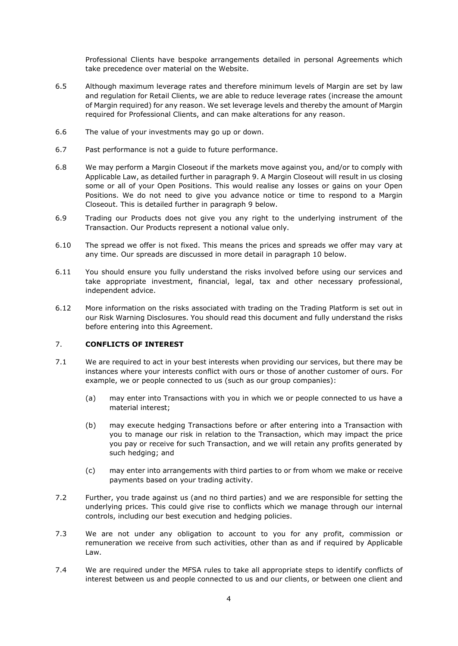Professional Clients have bespoke arrangements detailed in personal Agreements which take precedence over material on the Website.

- 6.5 Although maximum leverage rates and therefore minimum levels of Margin are set by law and regulation for Retail Clients, we are able to reduce leverage rates (increase the amount of Margin required) for any reason. We set leverage levels and thereby the amount of Margin required for Professional Clients, and can make alterations for any reason.
- 6.6 The value of your investments may go up or down.
- 6.7 Past performance is not a guide to future performance.
- 6.8 We may perform a Margin Closeout if the markets move against you, and/or to comply with Applicable Law, as detailed further in paragraph 9. A Margin Closeout will result in us closing some or all of your Open Positions. This would realise any losses or gains on your Open Positions. We do not need to give you advance notice or time to respond to a Margin Closeout. This is detailed further in paragraph [9](#page-5-0) below.
- 6.9 Trading our Products does not give you any right to the underlying instrument of the Transaction. Our Products represent a notional value only.
- 6.10 The spread we offer is not fixed. This means the prices and spreads we offer may vary at any time. Our spreads are discussed in more detail in paragraph 10 below.
- 6.11 You should ensure you fully understand the risks involved before using our services and take appropriate investment, financial, legal, tax and other necessary professional, independent advice.
- 6.12 More information on the risks associated with trading on the Trading Platform is set out in our Risk Warning Disclosures. You should read this document and fully understand the risks before entering into this Agreement.

# 7. **CONFLICTS OF INTEREST**

- 7.1 We are required to act in your best interests when providing our services, but there may be instances where your interests conflict with ours or those of another customer of ours. For example, we or people connected to us (such as our group companies):
	- (a) may enter into Transactions with you in which we or people connected to us have a material interest;
	- (b) may execute hedging Transactions before or after entering into a Transaction with you to manage our risk in relation to the Transaction, which may impact the price you pay or receive for such Transaction, and we will retain any profits generated by such hedging; and
	- (c) may enter into arrangements with third parties to or from whom we make or receive payments based on your trading activity.
- 7.2 Further, you trade against us (and no third parties) and we are responsible for setting the underlying prices. This could give rise to conflicts which we manage through our internal controls, including our best execution and hedging policies.
- 7.3 We are not under any obligation to account to you for any profit, commission or remuneration we receive from such activities, other than as and if required by Applicable Law.
- 7.4 We are required under the MFSA rules to take all appropriate steps to identify conflicts of interest between us and people connected to us and our clients, or between one client and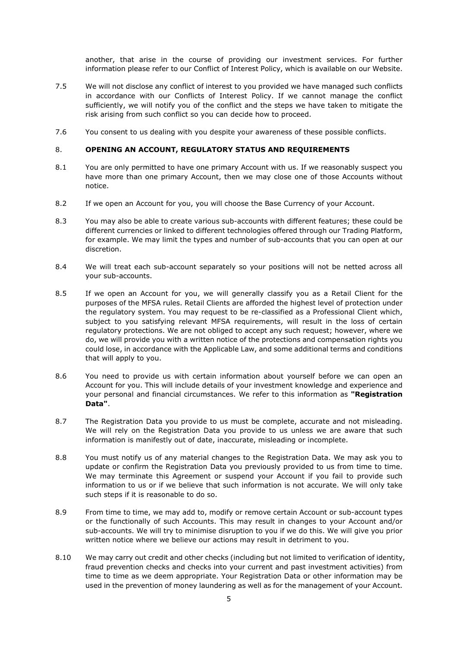another, that arise in the course of providing our investment services. For further information please refer to our Conflict of Interest Policy, which is available on our Website.

- 7.5 We will not disclose any conflict of interest to you provided we have managed such conflicts in accordance with our Conflicts of Interest Policy. If we cannot manage the conflict sufficiently, we will notify you of the conflict and the steps we have taken to mitigate the risk arising from such conflict so you can decide how to proceed.
- 7.6 You consent to us dealing with you despite your awareness of these possible conflicts.

## 8. **OPENING AN ACCOUNT, REGULATORY STATUS AND REQUIREMENTS**

- 8.1 You are only permitted to have one primary Account with us. If we reasonably suspect you have more than one primary Account, then we may close one of those Accounts without notice.
- 8.2 If we open an Account for you, you will choose the Base Currency of your Account.
- 8.3 You may also be able to create various sub-accounts with different features; these could be different currencies or linked to different technologies offered through our Trading Platform, for example. We may limit the types and number of sub-accounts that you can open at our discretion.
- 8.4 We will treat each sub-account separately so your positions will not be netted across all your sub-accounts.
- 8.5 If we open an Account for you, we will generally classify you as a Retail Client for the purposes of the MFSA rules. Retail Clients are afforded the highest level of protection under the regulatory system. You may request to be re-classified as a Professional Client which, subject to you satisfying relevant MFSA requirements, will result in the loss of certain regulatory protections. We are not obliged to accept any such request; however, where we do, we will provide you with a written notice of the protections and compensation rights you could lose, in accordance with the Applicable Law, and some additional terms and conditions that will apply to you.
- 8.6 You need to provide us with certain information about yourself before we can open an Account for you. This will include details of your investment knowledge and experience and your personal and financial circumstances. We refer to this information as **"Registration Data"**.
- 8.7 The Registration Data you provide to us must be complete, accurate and not misleading. We will rely on the Registration Data you provide to us unless we are aware that such information is manifestly out of date, inaccurate, misleading or incomplete.
- 8.8 You must notify us of any material changes to the Registration Data. We may ask you to update or confirm the Registration Data you previously provided to us from time to time. We may terminate this Agreement or suspend your Account if you fail to provide such information to us or if we believe that such information is not accurate. We will only take such steps if it is reasonable to do so.
- 8.9 From time to time, we may add to, modify or remove certain Account or sub-account types or the functionally of such Accounts. This may result in changes to your Account and/or sub-accounts. We will try to minimise disruption to you if we do this. We will give you prior written notice where we believe our actions may result in detriment to you.
- 8.10 We may carry out credit and other checks (including but not limited to verification of identity, fraud prevention checks and checks into your current and past investment activities) from time to time as we deem appropriate. Your Registration Data or other information may be used in the prevention of money laundering as well as for the management of your Account.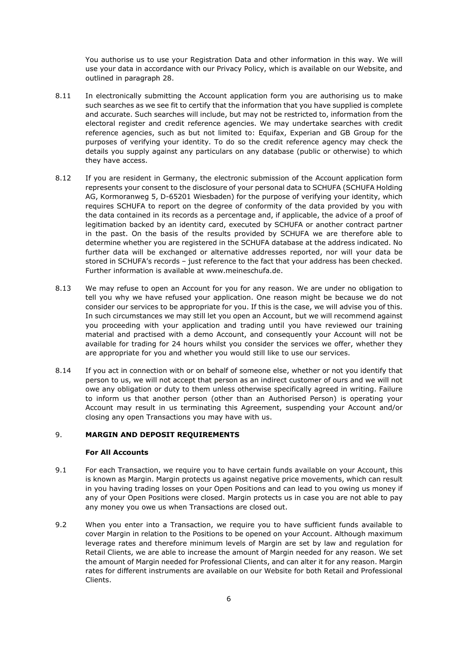You authorise us to use your Registration Data and other information in this way. We will use your data in accordance with our Privacy Policy, which is available on our Website, and outlined in paragraph 28.

- 8.11 In electronically submitting the Account application form you are authorising us to make such searches as we see fit to certify that the information that you have supplied is complete and accurate. Such searches will include, but may not be restricted to, information from the electoral register and credit reference agencies. We may undertake searches with credit reference agencies, such as but not limited to: Equifax, Experian and GB Group for the purposes of verifying your identity. To do so the credit reference agency may check the details you supply against any particulars on any database (public or otherwise) to which they have access.
- 8.12 If you are resident in Germany, the electronic submission of the Account application form represents your consent to the disclosure of your personal data to SCHUFA (SCHUFA Holding AG, Kormoranweg 5, D-65201 Wiesbaden) for the purpose of verifying your identity, which requires SCHUFA to report on the degree of conformity of the data provided by you with the data contained in its records as a percentage and, if applicable, the advice of a proof of legitimation backed by an identity card, executed by SCHUFA or another contract partner in the past. On the basis of the results provided by SCHUFA we are therefore able to determine whether you are registered in the SCHUFA database at the address indicated. No further data will be exchanged or alternative addresses reported, nor will your data be stored in SCHUFA's records – just reference to the fact that your address has been checked. Further information is available at www.meineschufa.de.
- 8.13 We may refuse to open an Account for you for any reason. We are under no obligation to tell you why we have refused your application. One reason might be because we do not consider our services to be appropriate for you. If this is the case, we will advise you of this. In such circumstances we may still let you open an Account, but we will recommend against you proceeding with your application and trading until you have reviewed our training material and practised with a demo Account, and consequently your Account will not be available for trading for 24 hours whilst you consider the services we offer, whether they are appropriate for you and whether you would still like to use our services.
- 8.14 If you act in connection with or on behalf of someone else, whether or not you identify that person to us, we will not accept that person as an indirect customer of ours and we will not owe any obligation or duty to them unless otherwise specifically agreed in writing. Failure to inform us that another person (other than an Authorised Person) is operating your Account may result in us terminating this Agreement, suspending your Account and/or closing any open Transactions you may have with us.

# <span id="page-5-0"></span>9. **MARGIN AND DEPOSIT REQUIREMENTS**

## **For All Accounts**

- 9.1 For each Transaction, we require you to have certain funds available on your Account, this is known as Margin. Margin protects us against negative price movements, which can result in you having trading losses on your Open Positions and can lead to you owing us money if any of your Open Positions were closed. Margin protects us in case you are not able to pay any money you owe us when Transactions are closed out.
- 9.2 When you enter into a Transaction, we require you to have sufficient funds available to cover Margin in relation to the Positions to be opened on your Account. Although maximum leverage rates and therefore minimum levels of Margin are set by law and regulation for Retail Clients, we are able to increase the amount of Margin needed for any reason. We set the amount of Margin needed for Professional Clients, and can alter it for any reason. Margin rates for different instruments are available on our Website for both Retail and Professional Clients.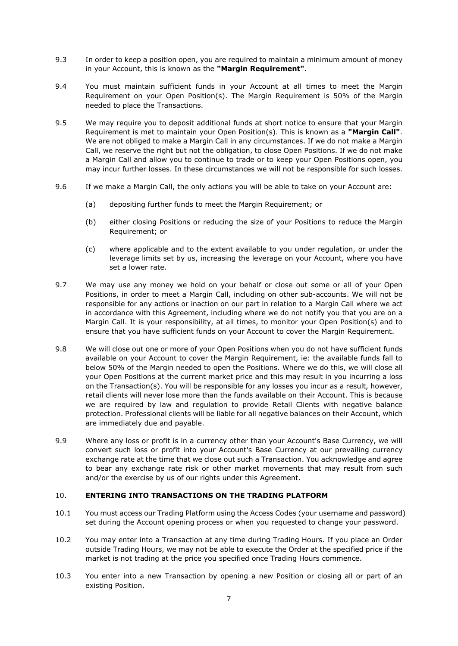- 9.3 In order to keep a position open, you are required to maintain a minimum amount of money in your Account, this is known as the **"Margin Requirement"**.
- 9.4 You must maintain sufficient funds in your Account at all times to meet the Margin Requirement on your Open Position(s). The Margin Requirement is 50% of the Margin needed to place the Transactions.
- <span id="page-6-0"></span>9.5 We may require you to deposit additional funds at short notice to ensure that your Margin Requirement is met to maintain your Open Position(s). This is known as a **"Margin Call"**. We are not obliged to make a Margin Call in any circumstances. If we do not make a Margin Call, we reserve the right but not the obligation, to close Open Positions. If we do not make a Margin Call and allow you to continue to trade or to keep your Open Positions open, you may incur further losses. In these circumstances we will not be responsible for such losses.
- 9.6 If we make a Margin Call, the only actions you will be able to take on your Account are:
	- (a) depositing further funds to meet the Margin Requirement; or
	- (b) either closing Positions or reducing the size of your Positions to reduce the Margin Requirement; or
	- (c) where applicable and to the extent available to you under regulation, or under the leverage limits set by us, increasing the leverage on your Account, where you have set a lower rate.
- 9.7 We may use any money we hold on your behalf or close out some or all of your Open Positions, in order to meet a Margin Call, including on other sub-accounts. We will not be responsible for any actions or inaction on our part in relation to a Margin Call where we act in accordance with this Agreement, including where we do not notify you that you are on a Margin Call. It is your responsibility, at all times, to monitor your Open Position(s) and to ensure that you have sufficient funds on your Account to cover the Margin Requirement.
- 9.8 We will close out one or more of your Open Positions when you do not have sufficient funds available on your Account to cover the Margin Requirement, ie: the available funds fall to below 50% of the Margin needed to open the Positions. Where we do this, we will close all your Open Positions at the current market price and this may result in you incurring a loss on the Transaction(s). You will be responsible for any losses you incur as a result, however, retail clients will never lose more than the funds available on their Account. This is because we are required by law and regulation to provide Retail Clients with negative balance protection. Professional clients will be liable for all negative balances on their Account, which are immediately due and payable.
- 9.9 Where any loss or profit is in a currency other than your Account's Base Currency, we will convert such loss or profit into your Account's Base Currency at our prevailing currency exchange rate at the time that we close out such a Transaction. You acknowledge and agree to bear any exchange rate risk or other market movements that may result from such and/or the exercise by us of our rights under this Agreement.

## 10. **ENTERING INTO TRANSACTIONS ON THE TRADING PLATFORM**

- 10.1 You must access our Trading Platform using the Access Codes (your username and password) set during the Account opening process or when you requested to change your password.
- 10.2 You may enter into a Transaction at any time during Trading Hours. If you place an Order outside Trading Hours, we may not be able to execute the Order at the specified price if the market is not trading at the price you specified once Trading Hours commence.
- 10.3 You enter into a new Transaction by opening a new Position or closing all or part of an existing Position.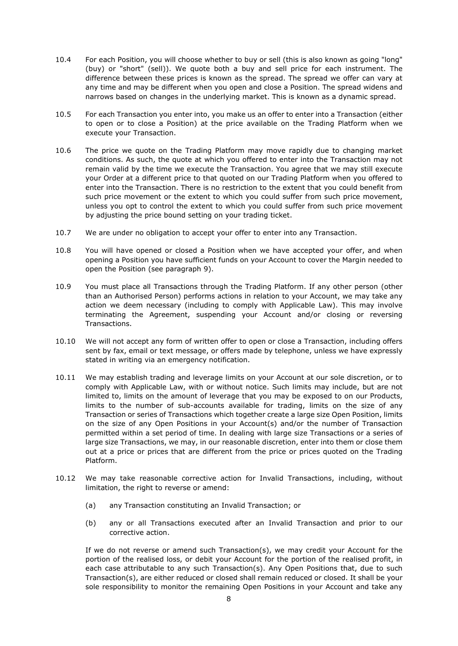- 10.4 For each Position, you will choose whether to buy or sell (this is also known as going "long" (buy) or "short" (sell)). We quote both a buy and sell price for each instrument. The difference between these prices is known as the spread. The spread we offer can vary at any time and may be different when you open and close a Position. The spread widens and narrows based on changes in the underlying market. This is known as a dynamic spread.
- 10.5 For each Transaction you enter into, you make us an offer to enter into a Transaction (either to open or to close a Position) at the price available on the Trading Platform when we execute your Transaction.
- 10.6 The price we quote on the Trading Platform may move rapidly due to changing market conditions. As such, the quote at which you offered to enter into the Transaction may not remain valid by the time we execute the Transaction. You agree that we may still execute your Order at a different price to that quoted on our Trading Platform when you offered to enter into the Transaction. There is no restriction to the extent that you could benefit from such price movement or the extent to which you could suffer from such price movement, unless you opt to control the extent to which you could suffer from such price movement by adjusting the price bound setting on your trading ticket.
- 10.7 We are under no obligation to accept your offer to enter into any Transaction.
- 10.8 You will have opened or closed a Position when we have accepted your offer, and when opening a Position you have sufficient funds on your Account to cover the Margin needed to open the Position (see paragraph [9\)](#page-5-0).
- 10.9 You must place all Transactions through the Trading Platform. If any other person (other than an Authorised Person) performs actions in relation to your Account, we may take any action we deem necessary (including to comply with Applicable Law). This may involve terminating the Agreement, suspending your Account and/or closing or reversing Transactions.
- 10.10 We will not accept any form of written offer to open or close a Transaction, including offers sent by fax, email or text message, or offers made by telephone, unless we have expressly stated in writing via an emergency notification.
- 10.11 We may establish trading and leverage limits on your Account at our sole discretion, or to comply with Applicable Law, with or without notice. Such limits may include, but are not limited to, limits on the amount of leverage that you may be exposed to on our Products, limits to the number of sub-accounts available for trading, limits on the size of any Transaction or series of Transactions which together create a large size Open Position, limits on the size of any Open Positions in your Account(s) and/or the number of Transaction permitted within a set period of time. In dealing with large size Transactions or a series of large size Transactions, we may, in our reasonable discretion, enter into them or close them out at a price or prices that are different from the price or prices quoted on the Trading Platform.
- 10.12 We may take reasonable corrective action for Invalid Transactions, including, without limitation, the right to reverse or amend:
	- (a) any Transaction constituting an Invalid Transaction; or
	- (b) any or all Transactions executed after an Invalid Transaction and prior to our corrective action.

If we do not reverse or amend such Transaction(s), we may credit your Account for the portion of the realised loss, or debit your Account for the portion of the realised profit, in each case attributable to any such Transaction(s). Any Open Positions that, due to such Transaction(s), are either reduced or closed shall remain reduced or closed. It shall be your sole responsibility to monitor the remaining Open Positions in your Account and take any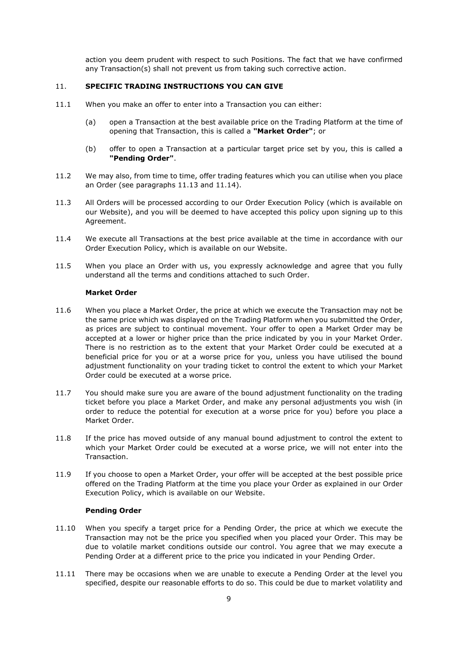action you deem prudent with respect to such Positions. The fact that we have confirmed any Transaction(s) shall not prevent us from taking such corrective action.

## 11. **SPECIFIC TRADING INSTRUCTIONS YOU CAN GIVE**

- 11.1 When you make an offer to enter into a Transaction you can either:
	- (a) open a Transaction at the best available price on the Trading Platform at the time of opening that Transaction, this is called a **"Market Order"**; or
	- (b) offer to open a Transaction at a particular target price set by you, this is called a **"Pending Order"**.
- 11.2 We may also, from time to time, offer trading features which you can utilise when you place an Order (see paragraphs 11.13 and 11.14).
- 11.3 All Orders will be processed according to our Order Execution Policy (which is available on our Website), and you will be deemed to have accepted this policy upon signing up to this Agreement.
- 11.4 We execute all Transactions at the best price available at the time in accordance with our Order Execution Policy, which is available on our Website.
- 11.5 When you place an Order with us, you expressly acknowledge and agree that you fully understand all the terms and conditions attached to such Order.

#### **Market Order**

- 11.6 When you place a Market Order, the price at which we execute the Transaction may not be the same price which was displayed on the Trading Platform when you submitted the Order, as prices are subject to continual movement. Your offer to open a Market Order may be accepted at a lower or higher price than the price indicated by you in your Market Order. There is no restriction as to the extent that your Market Order could be executed at a beneficial price for you or at a worse price for you, unless you have utilised the bound adjustment functionality on your trading ticket to control the extent to which your Market Order could be executed at a worse price.
- 11.7 You should make sure you are aware of the bound adjustment functionality on the trading ticket before you place a Market Order, and make any personal adjustments you wish (in order to reduce the potential for execution at a worse price for you) before you place a Market Order.
- 11.8 If the price has moved outside of any manual bound adjustment to control the extent to which your Market Order could be executed at a worse price, we will not enter into the Transaction.
- 11.9 If you choose to open a Market Order, your offer will be accepted at the best possible price offered on the Trading Platform at the time you place your Order as explained in our Order Execution Policy, which is available on our Website.

## **Pending Order**

- 11.10 When you specify a target price for a Pending Order, the price at which we execute the Transaction may not be the price you specified when you placed your Order. This may be due to volatile market conditions outside our control. You agree that we may execute a Pending Order at a different price to the price you indicated in your Pending Order.
- 11.11 There may be occasions when we are unable to execute a Pending Order at the level you specified, despite our reasonable efforts to do so. This could be due to market volatility and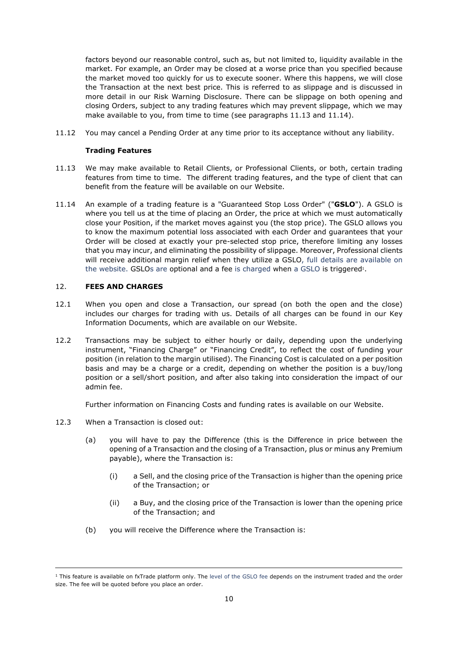factors beyond our reasonable control, such as, but not limited to, liquidity available in the market. For example, an Order may be closed at a worse price than you specified because the market moved too quickly for us to execute sooner. Where this happens, we will close the Transaction at the next best price. This is referred to as slippage and is discussed in more detail in our Risk Warning Disclosure. There can be slippage on both opening and closing Orders, subject to any trading features which may prevent slippage, which we may make available to you, from time to time (see paragraphs 11.13 and 11.14).

11.12 You may cancel a Pending Order at any time prior to its acceptance without any liability.

#### **Trading Features**

- 11.13 We may make available to Retail Clients, or Professional Clients, or both, certain trading features from time to time. The different trading features, and the type of client that can benefit from the feature will be available on our Website.
- 11.14 An example of a trading feature is a "Guaranteed Stop Loss Order" ("**GSLO**"). A GSLO is where you tell us at the time of placing an Order, the price at which we must automatically close your Position, if the market moves against you (the stop price). The GSLO allows you to know the maximum potential loss associated with each Order and guarantees that your Order will be closed at exactly your pre-selected stop price, therefore limiting any losses that you may incur, and eliminating the possibility of slippage. Moreover, Professional clients will receive additional margin relief when they utilize a GSLO, full details are available on the website. GSLOs are optional and a fee is charged when a GSLO is triggered<sup>1</sup>.

## 12. **FEES AND CHARGES**

- 12.1 When you open and close a Transaction, our spread (on both the open and the close) includes our charges for trading with us. Details of all charges can be found in our Key Information Documents, which are available on our Website.
- 12.2 Transactions may be subject to either hourly or daily, depending upon the underlying instrument, "Financing Charge" or "Financing Credit", to reflect the cost of funding your position (in relation to the margin utilised). The Financing Cost is calculated on a per position basis and may be a charge or a credit, depending on whether the position is a buy/long position or a sell/short position, and after also taking into consideration the impact of our admin fee.

Further information on Financing Costs and funding rates is available on our Website.

- 12.3 When a Transaction is closed out:
	- (a) you will have to pay the Difference (this is the Difference in price between the opening of a Transaction and the closing of a Transaction, plus or minus any Premium payable), where the Transaction is:
		- (i) a Sell, and the closing price of the Transaction is higher than the opening price of the Transaction; or
		- (ii) a Buy, and the closing price of the Transaction is lower than the opening price of the Transaction; and
	- (b) you will receive the Difference where the Transaction is:

<sup>&</sup>lt;sup>1</sup> This feature is available on fxTrade platform only. The level of the GSLO fee depends on the instrument traded and the order size. The fee will be quoted before you place an order.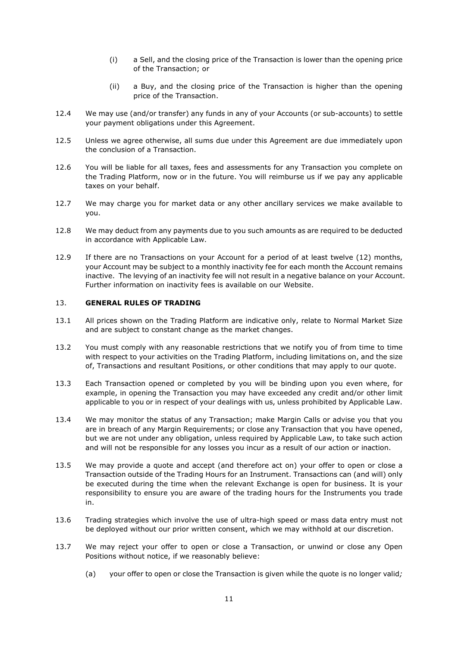- (i) a Sell, and the closing price of the Transaction is lower than the opening price of the Transaction; or
- (ii) a Buy, and the closing price of the Transaction is higher than the opening price of the Transaction.
- 12.4 We may use (and/or transfer) any funds in any of your Accounts (or sub-accounts) to settle your payment obligations under this Agreement.
- 12.5 Unless we agree otherwise, all sums due under this Agreement are due immediately upon the conclusion of a Transaction.
- 12.6 You will be liable for all taxes, fees and assessments for any Transaction you complete on the Trading Platform, now or in the future. You will reimburse us if we pay any applicable taxes on your behalf.
- 12.7 We may charge you for market data or any other ancillary services we make available to you.
- 12.8 We may deduct from any payments due to you such amounts as are required to be deducted in accordance with Applicable Law.
- 12.9 If there are no Transactions on your Account for a period of at least twelve (12) months, your Account may be subject to a monthly inactivity fee for each month the Account remains inactive. The levying of an inactivity fee will not result in a negative balance on your Account. Further information on inactivity fees is available on our Website.

# 13. **GENERAL RULES OF TRADING**

- 13.1 All prices shown on the Trading Platform are indicative only, relate to Normal Market Size and are subject to constant change as the market changes.
- 13.2 You must comply with any reasonable restrictions that we notify you of from time to time with respect to your activities on the Trading Platform, including limitations on, and the size of, Transactions and resultant Positions, or other conditions that may apply to our quote.
- 13.3 Each Transaction opened or completed by you will be binding upon you even where, for example, in opening the Transaction you may have exceeded any credit and/or other limit applicable to you or in respect of your dealings with us, unless prohibited by Applicable Law.
- 13.4 We may monitor the status of any Transaction; make Margin Calls or advise you that you are in breach of any Margin Requirements; or close any Transaction that you have opened, but we are not under any obligation, unless required by Applicable Law, to take such action and will not be responsible for any losses you incur as a result of our action or inaction.
- 13.5 We may provide a quote and accept (and therefore act on) your offer to open or close a Transaction outside of the Trading Hours for an Instrument. Transactions can (and will) only be executed during the time when the relevant Exchange is open for business. It is your responsibility to ensure you are aware of the trading hours for the Instruments you trade in.
- 13.6 Trading strategies which involve the use of ultra-high speed or mass data entry must not be deployed without our prior written consent, which we may withhold at our discretion.
- <span id="page-10-0"></span>13.7 We may reject your offer to open or close a Transaction, or unwind or close any Open Positions without notice, if we reasonably believe:
	- (a) your offer to open or close the Transaction is given while the quote is no longer valid*;*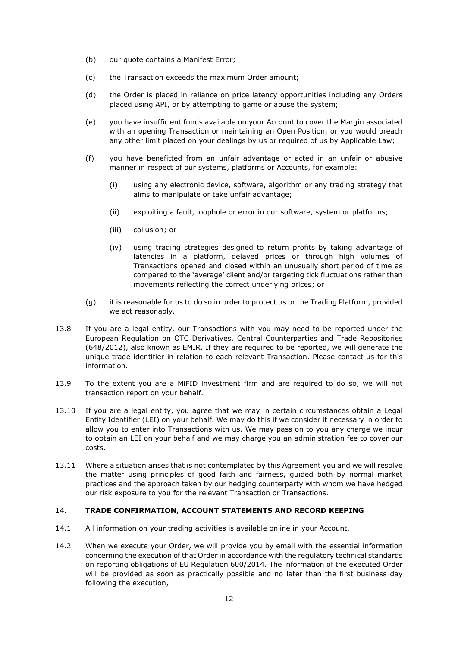- (b) our quote contains a Manifest Error;
- (c) the Transaction exceeds the maximum Order amount;
- (d) the Order is placed in reliance on price latency opportunities including any Orders placed using API, or by attempting to game or abuse the system;
- (e) you have insufficient funds available on your Account to cover the Margin associated with an opening Transaction or maintaining an Open Position, or you would breach any other limit placed on your dealings by us or required of us by Applicable Law;
- (f) you have benefitted from an unfair advantage or acted in an unfair or abusive manner in respect of our systems, platforms or Accounts, for example:
	- (i) using any electronic device, software, algorithm or any trading strategy that aims to manipulate or take unfair advantage;
	- (ii) exploiting a fault, loophole or error in our software, system or platforms;
	- (iii) collusion; or
	- (iv) using trading strategies designed to return profits by taking advantage of latencies in a platform, delayed prices or through high volumes of Transactions opened and closed within an unusually short period of time as compared to the 'average' client and/or targeting tick fluctuations rather than movements reflecting the correct underlying prices; or
- (g) it is reasonable for us to do so in order to protect us or the Trading Platform, provided we act reasonably.
- 13.8 If you are a legal entity, our Transactions with you may need to be reported under the European Regulation on OTC Derivatives, Central Counterparties and Trade Repositories (648/2012), also known as EMIR. If they are required to be reported, we will generate the unique trade identifier in relation to each relevant Transaction. Please contact us for this information.
- 13.9 To the extent you are a MiFID investment firm and are required to do so, we will not transaction report on your behalf.
- 13.10 If you are a legal entity, you agree that we may in certain circumstances obtain a Legal Entity Identifier (LEI) on your behalf. We may do this if we consider it necessary in order to allow you to enter into Transactions with us. We may pass on to you any charge we incur to obtain an LEI on your behalf and we may charge you an administration fee to cover our costs.
- 13.11 Where a situation arises that is not contemplated by this Agreement you and we will resolve the matter using principles of good faith and fairness, guided both by normal market practices and the approach taken by our hedging counterparty with whom we have hedged our risk exposure to you for the relevant Transaction or Transactions.

#### 14. **TRADE CONFIRMATION, ACCOUNT STATEMENTS AND RECORD KEEPING**

- 14.1 All information on your trading activities is available online in your Account.
- 14.2 When we execute your Order, we will provide you by email with the essential information concerning the execution of that Order in accordance with the regulatory technical standards on reporting obligations of EU Regulation 600/2014. The information of the executed Order will be provided as soon as practically possible and no later than the first business day following the execution,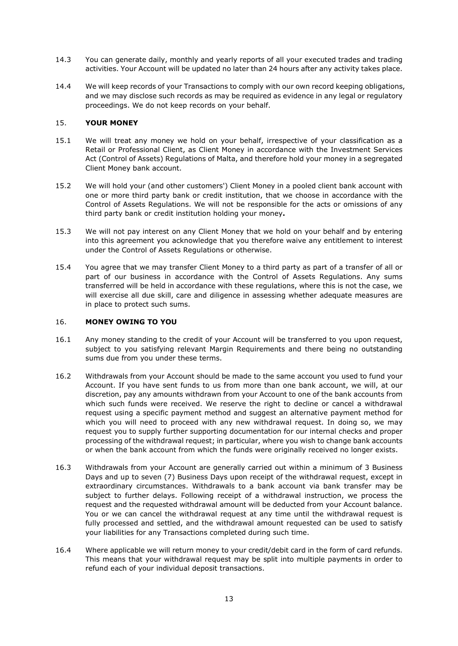- 14.3 You can generate daily, monthly and yearly reports of all your executed trades and trading activities. Your Account will be updated no later than 24 hours after any activity takes place.
- 14.4 We will keep records of your Transactions to comply with our own record keeping obligations, and we may disclose such records as may be required as evidence in any legal or regulatory proceedings. We do not keep records on your behalf.

## 15. **YOUR MONEY**

- 15.1 We will treat any money we hold on your behalf, irrespective of your classification as a Retail or Professional Client, as Client Money in accordance with the Investment Services Act (Control of Assets) Regulations of Malta, and therefore hold your money in a segregated Client Money bank account.
- 15.2 We will hold your (and other customers') Client Money in a pooled client bank account with one or more third party bank or credit institution, that we choose in accordance with the Control of Assets Regulations. We will not be responsible for the acts or omissions of any third party bank or credit institution holding your money**.**
- 15.3 We will not pay interest on any Client Money that we hold on your behalf and by entering into this agreement you acknowledge that you therefore waive any entitlement to interest under the Control of Assets Regulations or otherwise.
- 15.4 You agree that we may transfer Client Money to a third party as part of a transfer of all or part of our business in accordance with the Control of Assets Regulations. Any sums transferred will be held in accordance with these regulations, where this is not the case, we will exercise all due skill, care and diligence in assessing whether adequate measures are in place to protect such sums.

## 16. **MONEY OWING TO YOU**

- 16.1 Any money standing to the credit of your Account will be transferred to you upon request, subject to you satisfying relevant Margin Requirements and there being no outstanding sums due from you under these terms.
- 16.2 Withdrawals from your Account should be made to the same account you used to fund your Account. If you have sent funds to us from more than one bank account, we will, at our discretion, pay any amounts withdrawn from your Account to one of the bank accounts from which such funds were received. We reserve the right to decline or cancel a withdrawal request using a specific payment method and suggest an alternative payment method for which you will need to proceed with any new withdrawal request. In doing so, we may request you to supply further supporting documentation for our internal checks and proper processing of the withdrawal request; in particular, where you wish to change bank accounts or when the bank account from which the funds were originally received no longer exists.
- 16.3 Withdrawals from your Account are generally carried out within a minimum of 3 Business Days and up to seven (7) Business Days upon receipt of the withdrawal request, except in extraordinary circumstances. Withdrawals to a bank account via bank transfer may be subject to further delays. Following receipt of a withdrawal instruction, we process the request and the requested withdrawal amount will be deducted from your Account balance. You or we can cancel the withdrawal request at any time until the withdrawal request is fully processed and settled, and the withdrawal amount requested can be used to satisfy your liabilities for any Transactions completed during such time.
- 16.4 Where applicable we will return money to your credit/debit card in the form of card refunds. This means that your withdrawal request may be split into multiple payments in order to refund each of your individual deposit transactions.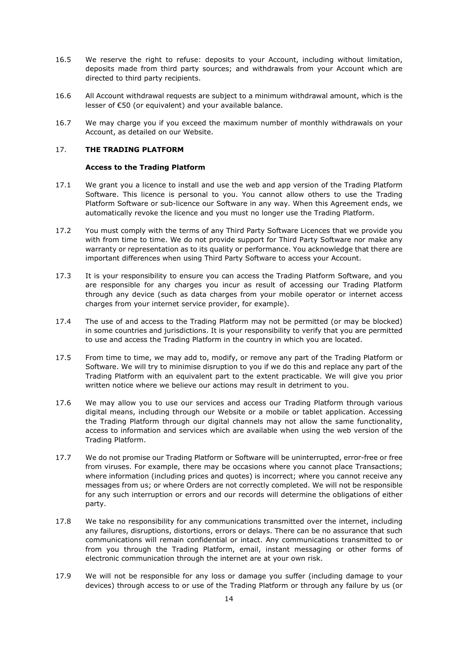- 16.5 We reserve the right to refuse: deposits to your Account, including without limitation, deposits made from third party sources; and withdrawals from your Account which are directed to third party recipients.
- 16.6 All Account withdrawal requests are subject to a minimum withdrawal amount, which is the lesser of €50 (or equivalent) and your available balance.
- 16.7 We may charge you if you exceed the maximum number of monthly withdrawals on your Account, as detailed on our Website.

## 17. **THE TRADING PLATFORM**

## **Access to the Trading Platform**

- <span id="page-13-0"></span>17.1 We grant you a licence to install and use the web and app version of the Trading Platform Software. This licence is personal to you. You cannot allow others to use the Trading Platform Software or sub-licence our Software in any way. When this Agreement ends, we automatically revoke the licence and you must no longer use the Trading Platform.
- 17.2 You must comply with the terms of any Third Party Software Licences that we provide you with from time to time. We do not provide support for Third Party Software nor make any warranty or representation as to its quality or performance. You acknowledge that there are important differences when using Third Party Software to access your Account.
- 17.3 It is your responsibility to ensure you can access the Trading Platform Software, and you are responsible for any charges you incur as result of accessing our Trading Platform through any device (such as data charges from your mobile operator or internet access charges from your internet service provider, for example).
- 17.4 The use of and access to the Trading Platform may not be permitted (or may be blocked) in some countries and jurisdictions. It is your responsibility to verify that you are permitted to use and access the Trading Platform in the country in which you are located.
- 17.5 From time to time, we may add to, modify, or remove any part of the Trading Platform or Software. We will try to minimise disruption to you if we do this and replace any part of the Trading Platform with an equivalent part to the extent practicable. We will give you prior written notice where we believe our actions may result in detriment to you.
- 17.6 We may allow you to use our services and access our Trading Platform through various digital means, including through our Website or a mobile or tablet application. Accessing the Trading Platform through our digital channels may not allow the same functionality, access to information and services which are available when using the web version of the Trading Platform.
- 17.7 We do not promise our Trading Platform or Software will be uninterrupted, error-free or free from viruses. For example, there may be occasions where you cannot place Transactions; where information (including prices and quotes) is incorrect; where you cannot receive any messages from us; or where Orders are not correctly completed. We will not be responsible for any such interruption or errors and our records will determine the obligations of either party.
- 17.8 We take no responsibility for any communications transmitted over the internet, including any failures, disruptions, distortions, errors or delays. There can be no assurance that such communications will remain confidential or intact. Any communications transmitted to or from you through the Trading Platform, email, instant messaging or other forms of electronic communication through the internet are at your own risk.
- 17.9 We will not be responsible for any loss or damage you suffer (including damage to your devices) through access to or use of the Trading Platform or through any failure by us (or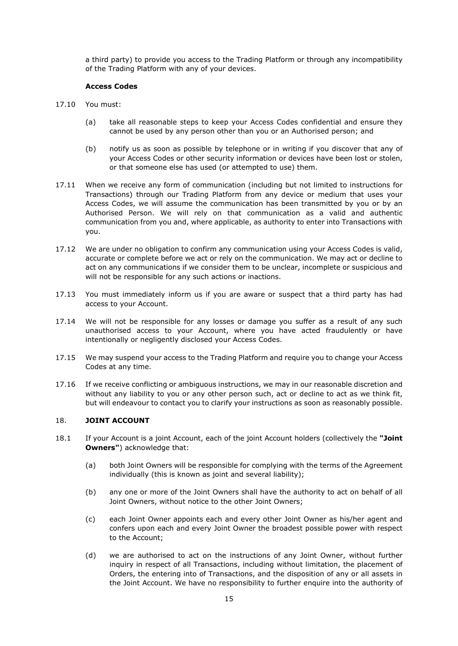a third party) to provide you access to the Trading Platform or through any incompatibility of the Trading Platform with any of your devices.

## **Access Codes**

- 17.10 You must:
	- (a) take all reasonable steps to keep your Access Codes confidential and ensure they cannot be used by any person other than you or an Authorised person; and
	- (b) notify us as soon as possible by telephone or in writing if you discover that any of your Access Codes or other security information or devices have been lost or stolen, or that someone else has used (or attempted to use) them.
- 17.11 When we receive any form of communication (including but not limited to instructions for Transactions) through our Trading Platform from any device or medium that uses your Access Codes, we will assume the communication has been transmitted by you or by an Authorised Person. We will rely on that communication as a valid and authentic communication from you and, where applicable, as authority to enter into Transactions with you.
- 17.12 We are under no obligation to confirm any communication using your Access Codes is valid, accurate or complete before we act or rely on the communication. We may act or decline to act on any communications if we consider them to be unclear, incomplete or suspicious and will not be responsible for any such actions or inactions.
- 17.13 You must immediately inform us if you are aware or suspect that a third party has had access to your Account.
- 17.14 We will not be responsible for any losses or damage you suffer as a result of any such unauthorised access to your Account, where you have acted fraudulently or have intentionally or negligently disclosed your Access Codes.
- 17.15 We may suspend your access to the Trading Platform and require you to change your Access Codes at any time.
- 17.16 If we receive conflicting or ambiguous instructions, we may in our reasonable discretion and without any liability to you or any other person such, act or decline to act as we think fit, but will endeavour to contact you to clarify your instructions as soon as reasonably possible.

## 18. **JOINT ACCOUNT**

- 18.1 If your Account is a joint Account, each of the joint Account holders (collectively the **"Joint Owners"**) acknowledge that:
	- (a) both Joint Owners will be responsible for complying with the terms of the Agreement individually (this is known as joint and several liability);
	- (b) any one or more of the Joint Owners shall have the authority to act on behalf of all Joint Owners, without notice to the other Joint Owners;
	- (c) each Joint Owner appoints each and every other Joint Owner as his/her agent and confers upon each and every Joint Owner the broadest possible power with respect to the Account;
	- (d) we are authorised to act on the instructions of any Joint Owner, without further inquiry in respect of all Transactions, including without limitation, the placement of Orders, the entering into of Transactions, and the disposition of any or all assets in the Joint Account. We have no responsibility to further enquire into the authority of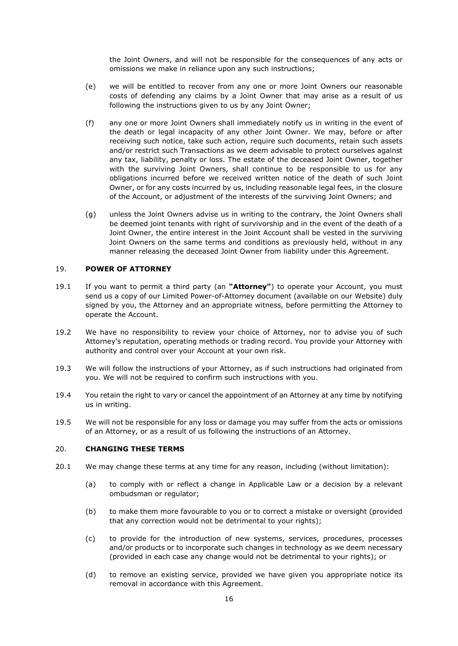the Joint Owners, and will not be responsible for the consequences of any acts or omissions we make in reliance upon any such instructions;

- (e) we will be entitled to recover from any one or more Joint Owners our reasonable costs of defending any claims by a Joint Owner that may arise as a result of us following the instructions given to us by any Joint Owner;
- (f) any one or more Joint Owners shall immediately notify us in writing in the event of the death or legal incapacity of any other Joint Owner. We may, before or after receiving such notice, take such action, require such documents, retain such assets and/or restrict such Transactions as we deem advisable to protect ourselves against any tax, liability, penalty or loss. The estate of the deceased Joint Owner, together with the surviving Joint Owners, shall continue to be responsible to us for any obligations incurred before we received written notice of the death of such Joint Owner, or for any costs incurred by us, including reasonable legal fees, in the closure of the Account, or adjustment of the interests of the surviving Joint Owners; and
- (g) unless the Joint Owners advise us in writing to the contrary, the Joint Owners shall be deemed joint tenants with right of survivorship and in the event of the death of a Joint Owner, the entire interest in the Joint Account shall be vested in the surviving Joint Owners on the same terms and conditions as previously held, without in any manner releasing the deceased Joint Owner from liability under this Agreement.

## 19. **POWER OF ATTORNEY**

- 19.1 If you want to permit a third party (an **"Attorney"**) to operate your Account, you must send us a copy of our Limited Power-of-Attorney document (available on our Website) duly signed by you, the Attorney and an appropriate witness, before permitting the Attorney to operate the Account.
- 19.2 We have no responsibility to review your choice of Attorney, nor to advise you of such Attorney's reputation, operating methods or trading record. You provide your Attorney with authority and control over your Account at your own risk.
- 19.3 We will follow the instructions of your Attorney, as if such instructions had originated from you. We will not be required to confirm such instructions with you.
- 19.4 You retain the right to vary or cancel the appointment of an Attorney at any time by notifying us in writing.
- 19.5 We will not be responsible for any loss or damage you may suffer from the acts or omissions of an Attorney, or as a result of us following the instructions of an Attorney.

## 20. **CHANGING THESE TERMS**

- 20.1 We may change these terms at any time for any reason, including (without limitation):
	- (a) to comply with or reflect a change in Applicable Law or a decision by a relevant ombudsman or regulator;
	- (b) to make them more favourable to you or to correct a mistake or oversight (provided that any correction would not be detrimental to your rights);
	- (c) to provide for the introduction of new systems, services, procedures, processes and/or products or to incorporate such changes in technology as we deem necessary (provided in each case any change would not be detrimental to your rights); or
	- (d) to remove an existing service, provided we have given you appropriate notice its removal in accordance with this Agreement.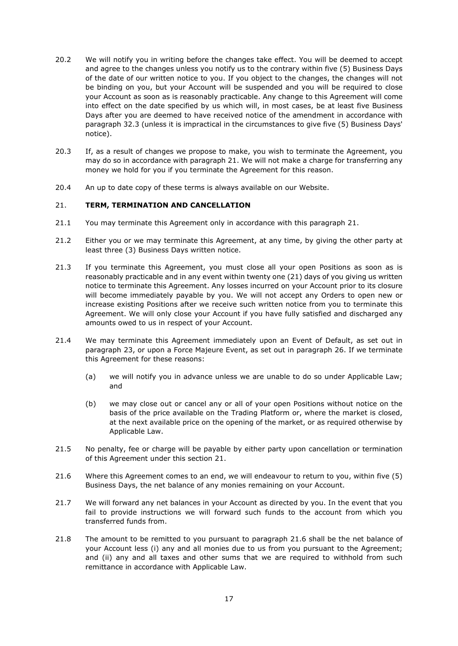- 20.2 We will notify you in writing before the changes take effect. You will be deemed to accept and agree to the changes unless you notify us to the contrary within five (5) Business Days of the date of our written notice to you. If you object to the changes, the changes will not be binding on you, but your Account will be suspended and you will be required to close your Account as soon as is reasonably practicable. Any change to this Agreement will come into effect on the date specified by us which will, in most cases, be at least five Business Days after you are deemed to have received notice of the amendment in accordance with paragraph [32.3](#page-23-0) (unless it is impractical in the circumstances to give five (5) Business Days' notice).
- 20.3 If, as a result of changes we propose to make, you wish to terminate the Agreement, you may do so in accordance with paragraph [21.](#page-16-0) We will not make a charge for transferring any money we hold for you if you terminate the Agreement for this reason.
- 20.4 An up to date copy of these terms is always available on our Website.

## <span id="page-16-0"></span>21. **TERM, TERMINATION AND CANCELLATION**

- 21.1 You may terminate this Agreement only in accordance with this paragraph [21.](#page-16-0)
- 21.2 Either you or we may terminate this Agreement, at any time, by giving the other party at least three (3) Business Days written notice.
- 21.3 If you terminate this Agreement, you must close all your open Positions as soon as is reasonably practicable and in any event within twenty one (21) days of you giving us written notice to terminate this Agreement. Any losses incurred on your Account prior to its closure will become immediately payable by you. We will not accept any Orders to open new or increase existing Positions after we receive such written notice from you to terminate this Agreement. We will only close your Account if you have fully satisfied and discharged any amounts owed to us in respect of your Account.
- 21.4 We may terminate this Agreement immediately upon an Event of Default, as set out in paragraph [23,](#page-17-0) or upon a Force Majeure Event, as set out in paragraph 26. If we terminate this Agreement for these reasons:
	- (a) we will notify you in advance unless we are unable to do so under Applicable Law; and
	- (b) we may close out or cancel any or all of your open Positions without notice on the basis of the price available on the Trading Platform or, where the market is closed, at the next available price on the opening of the market, or as required otherwise by Applicable Law.
- 21.5 No penalty, fee or charge will be payable by either party upon cancellation or termination of this Agreement under this section [21.](#page-16-0)
- 21.6 Where this Agreement comes to an end, we will endeavour to return to you, within five (5) Business Days, the net balance of any monies remaining on your Account.
- 21.7 We will forward any net balances in your Account as directed by you. In the event that you fail to provide instructions we will forward such funds to the account from which you transferred funds from.
- 21.8 The amount to be remitted to you pursuant to paragraph 21.6 shall be the net balance of your Account less (i) any and all monies due to us from you pursuant to the Agreement; and (ii) any and all taxes and other sums that we are required to withhold from such remittance in accordance with Applicable Law.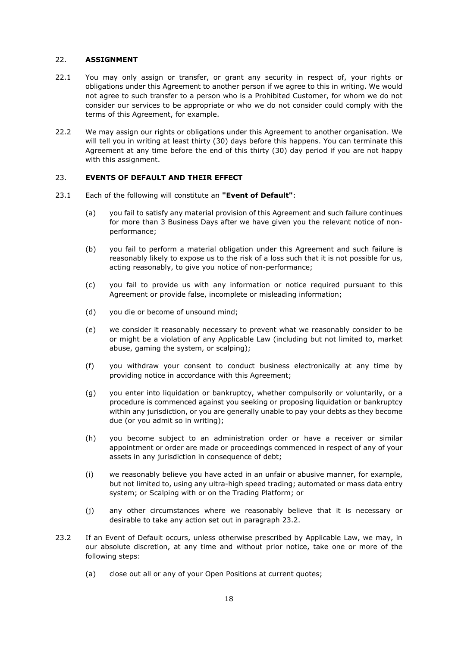# 22. **ASSIGNMENT**

- 22.1 You may only assign or transfer, or grant any security in respect of, your rights or obligations under this Agreement to another person if we agree to this in writing. We would not agree to such transfer to a person who is a Prohibited Customer, for whom we do not consider our services to be appropriate or who we do not consider could comply with the terms of this Agreement, for example.
- 22.2 We may assign our rights or obligations under this Agreement to another organisation. We will tell you in writing at least thirty (30) days before this happens. You can terminate this Agreement at any time before the end of this thirty (30) day period if you are not happy with this assignment.

## <span id="page-17-0"></span>23. **EVENTS OF DEFAULT AND THEIR EFFECT**

- <span id="page-17-4"></span><span id="page-17-2"></span>23.1 Each of the following will constitute an **"Event of Default"**:
	- (a) you fail to satisfy any material provision of this Agreement and such failure continues for more than 3 Business Days after we have given you the relevant notice of nonperformance;
	- (b) you fail to perform a material obligation under this Agreement and such failure is reasonably likely to expose us to the risk of a loss such that it is not possible for us, acting reasonably, to give you notice of non-performance;
	- (c) you fail to provide us with any information or notice required pursuant to this Agreement or provide false, incomplete or misleading information;
	- (d) you die or become of unsound mind;
	- (e) we consider it reasonably necessary to prevent what we reasonably consider to be or might be a violation of any Applicable Law (including but not limited to, market abuse, gaming the system, or scalping);
	- (f) you withdraw your consent to conduct business electronically at any time by providing notice in accordance with this Agreement;
	- (g) you enter into liquidation or bankruptcy, whether compulsorily or voluntarily, or a procedure is commenced against you seeking or proposing liquidation or bankruptcy within any jurisdiction, or you are generally unable to pay your debts as they become due (or you admit so in writing);
	- (h) you become subject to an administration order or have a receiver or similar appointment or order are made or proceedings commenced in respect of any of your assets in any jurisdiction in consequence of debt;
	- (i) we reasonably believe you have acted in an unfair or abusive manner, for example, but not limited to, using any ultra-high speed trading; automated or mass data entry system; or Scalping with or on the Trading Platform; or
	- (j) any other circumstances where we reasonably believe that it is necessary or desirable to take any action set out in paragraph [23.2.](#page-17-1)
- <span id="page-17-3"></span><span id="page-17-1"></span>23.2 If an Event of Default occurs, unless otherwise prescribed by Applicable Law, we may, in our absolute discretion, at any time and without prior notice, take one or more of the following steps:
	- (a) close out all or any of your Open Positions at current quotes;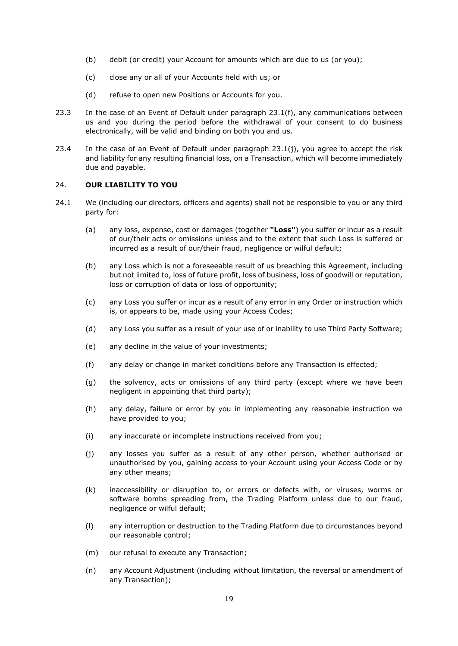- (b) debit (or credit) your Account for amounts which are due to us (or you);
- (c) close any or all of your Accounts held with us; or
- (d) refuse to open new Positions or Accounts for you.
- 23.3 In the case of an Event of Default under paragraph [23.1\(f\),](#page-17-2) any communications between us and you during the period before the withdrawal of your consent to do business electronically, will be valid and binding on both you and us.
- 23.4 In the case of an Event of Default under paragraph [23.1\(j\),](#page-17-3) you agree to accept the risk and liability for any resulting financial loss, on a Transaction, which will become immediately due and payable.

#### <span id="page-18-0"></span>24. **OUR LIABILITY TO YOU**

- 24.1 We (including our directors, officers and agents) shall not be responsible to you or any third party for:
	- (a) any loss, expense, cost or damages (together **"Loss"**) you suffer or incur as a result of our/their acts or omissions unless and to the extent that such Loss is suffered or incurred as a result of our/their fraud, negligence or wilful default;
	- (b) any Loss which is not a foreseeable result of us breaching this Agreement, including but not limited to, loss of future profit, loss of business, loss of goodwill or reputation, loss or corruption of data or loss of opportunity;
	- (c) any Loss you suffer or incur as a result of any error in any Order or instruction which is, or appears to be, made using your Access Codes;
	- (d) any Loss you suffer as a result of your use of or inability to use Third Party Software;
	- (e) any decline in the value of your investments;
	- (f) any delay or change in market conditions before any Transaction is effected;
	- (g) the solvency, acts or omissions of any third party (except where we have been negligent in appointing that third party);
	- (h) any delay, failure or error by you in implementing any reasonable instruction we have provided to you;
	- (i) any inaccurate or incomplete instructions received from you;
	- (j) any losses you suffer as a result of any other person, whether authorised or unauthorised by you, gaining access to your Account using your Access Code or by any other means;
	- (k) inaccessibility or disruption to, or errors or defects with, or viruses, worms or software bombs spreading from, the Trading Platform unless due to our fraud, negligence or wilful default;
	- (l) any interruption or destruction to the Trading Platform due to circumstances beyond our reasonable control;
	- (m) our refusal to execute any Transaction;
	- (n) any Account Adjustment (including without limitation, the reversal or amendment of any Transaction);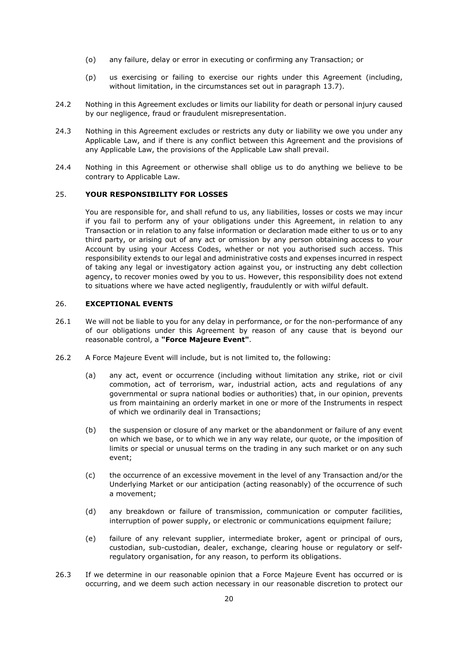- (o) any failure, delay or error in executing or confirming any Transaction; or
- (p) us exercising or failing to exercise our rights under this Agreement (including, without limitation, in the circumstances set out in paragraph [13.7\)](#page-10-0).
- 24.2 Nothing in this Agreement excludes or limits our liability for death or personal injury caused by our negligence, fraud or fraudulent misrepresentation.
- 24.3 Nothing in this Agreement excludes or restricts any duty or liability we owe you under any Applicable Law, and if there is any conflict between this Agreement and the provisions of any Applicable Law, the provisions of the Applicable Law shall prevail.
- 24.4 Nothing in this Agreement or otherwise shall oblige us to do anything we believe to be contrary to Applicable Law.

## 25. **YOUR RESPONSIBILITY FOR LOSSES**

You are responsible for, and shall refund to us, any liabilities, losses or costs we may incur if you fail to perform any of your obligations under this Agreement, in relation to any Transaction or in relation to any false information or declaration made either to us or to any third party, or arising out of any act or omission by any person obtaining access to your Account by using your Access Codes, whether or not you authorised such access. This responsibility extends to our legal and administrative costs and expenses incurred in respect of taking any legal or investigatory action against you, or instructing any debt collection agency, to recover monies owed by you to us. However, this responsibility does not extend to situations where we have acted negligently, fraudulently or with wilful default.

#### 26. **EXCEPTIONAL EVENTS**

- 26.1 We will not be liable to you for any delay in performance, or for the non-performance of any of our obligations under this Agreement by reason of any cause that is beyond our reasonable control, a **"Force Majeure Event"**.
- 26.2 A Force Majeure Event will include, but is not limited to, the following:
	- (a) any act, event or occurrence (including without limitation any strike, riot or civil commotion, act of terrorism, war, industrial action, acts and regulations of any governmental or supra national bodies or authorities) that, in our opinion, prevents us from maintaining an orderly market in one or more of the Instruments in respect of which we ordinarily deal in Transactions;
	- (b) the suspension or closure of any market or the abandonment or failure of any event on which we base, or to which we in any way relate, our quote, or the imposition of limits or special or unusual terms on the trading in any such market or on any such event;
	- (c) the occurrence of an excessive movement in the level of any Transaction and/or the Underlying Market or our anticipation (acting reasonably) of the occurrence of such a movement;
	- (d) any breakdown or failure of transmission, communication or computer facilities, interruption of power supply, or electronic or communications equipment failure;
	- (e) failure of any relevant supplier, intermediate broker, agent or principal of ours, custodian, sub-custodian, dealer, exchange, clearing house or regulatory or selfregulatory organisation, for any reason, to perform its obligations.
- 26.3 If we determine in our reasonable opinion that a Force Majeure Event has occurred or is occurring, and we deem such action necessary in our reasonable discretion to protect our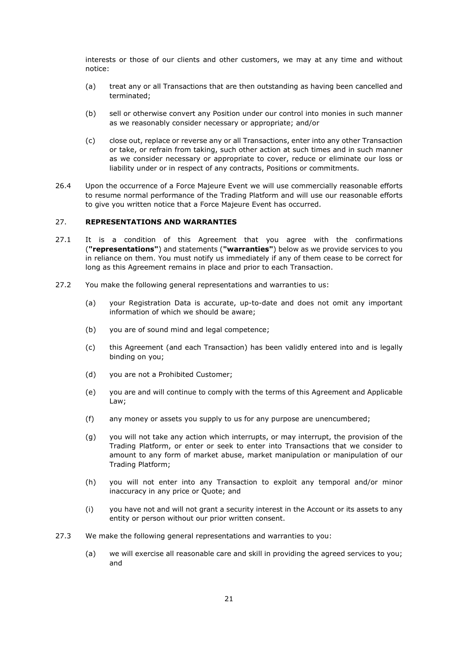interests or those of our clients and other customers, we may at any time and without notice:

- (a) treat any or all Transactions that are then outstanding as having been cancelled and terminated;
- (b) sell or otherwise convert any Position under our control into monies in such manner as we reasonably consider necessary or appropriate; and/or
- (c) close out, replace or reverse any or all Transactions, enter into any other Transaction or take, or refrain from taking, such other action at such times and in such manner as we consider necessary or appropriate to cover, reduce or eliminate our loss or liability under or in respect of any contracts, Positions or commitments.
- 26.4 Upon the occurrence of a Force Majeure Event we will use commercially reasonable efforts to resume normal performance of the Trading Platform and will use our reasonable efforts to give you written notice that a Force Majeure Event has occurred.

#### 27. **REPRESENTATIONS AND WARRANTIES**

- 27.1 It is a condition of this Agreement that you agree with the confirmations (**"representations"**) and statements (**"warranties"**) below as we provide services to you in reliance on them. You must notify us immediately if any of them cease to be correct for long as this Agreement remains in place and prior to each Transaction.
- 27.2 You make the following general representations and warranties to us:
	- (a) your Registration Data is accurate, up-to-date and does not omit any important information of which we should be aware;
	- (b) you are of sound mind and legal competence;
	- (c) this Agreement (and each Transaction) has been validly entered into and is legally binding on you;
	- (d) you are not a Prohibited Customer;
	- (e) you are and will continue to comply with the terms of this Agreement and Applicable Law;
	- (f) any money or assets you supply to us for any purpose are unencumbered;
	- (g) you will not take any action which interrupts, or may interrupt, the provision of the Trading Platform, or enter or seek to enter into Transactions that we consider to amount to any form of market abuse, market manipulation or manipulation of our Trading Platform;
	- (h) you will not enter into any Transaction to exploit any temporal and/or minor inaccuracy in any price or Quote; and
	- (i) you have not and will not grant a security interest in the Account or its assets to any entity or person without our prior written consent.
- 27.3 We make the following general representations and warranties to you:
	- (a) we will exercise all reasonable care and skill in providing the agreed services to you; and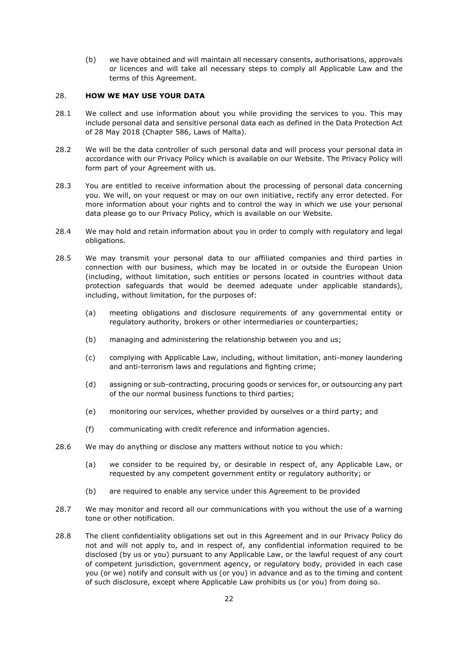(b) we have obtained and will maintain all necessary consents, authorisations, approvals or licences and will take all necessary steps to comply all Applicable Law and the terms of this Agreement.

# 28. **HOW WE MAY USE YOUR DATA**

- 28.1 We collect and use information about you while providing the services to you. This may include personal data and sensitive personal data each as defined in the Data Protection Act of 28 May 2018 (Chapter 586, Laws of Malta).
- 28.2 We will be the data controller of such personal data and will process your personal data in accordance with our Privacy Policy which is available on our Website. The Privacy Policy will form part of your Agreement with us.
- 28.3 You are entitled to receive information about the processing of personal data concerning you. We will, on your request or may on our own initiative, rectify any error detected. For more information about your rights and to control the way in which we use your personal data please go to our Privacy Policy, which is available on our Website.
- 28.4 We may hold and retain information about you in order to comply with regulatory and legal obligations.
- 28.5 We may transmit your personal data to our affiliated companies and third parties in connection with our business, which may be located in or outside the European Union (including, without limitation, such entities or persons located in countries without data protection safeguards that would be deemed adequate under applicable standards), including, without limitation, for the purposes of:
	- (a) meeting obligations and disclosure requirements of any governmental entity or regulatory authority, brokers or other intermediaries or counterparties;
	- (b) managing and administering the relationship between you and us;
	- (c) complying with Applicable Law, including, without limitation, anti-money laundering and anti-terrorism laws and regulations and fighting crime;
	- (d) assigning or sub-contracting, procuring goods or services for, or outsourcing any part of the our normal business functions to third parties;
	- (e) monitoring our services, whether provided by ourselves or a third party; and
	- (f) communicating with credit reference and information agencies.
- 28.6 We may do anything or disclose any matters without notice to you which:
	- (a) we consider to be required by, or desirable in respect of, any Applicable Law, or requested by any competent government entity or regulatory authority; or
	- (b) are required to enable any service under this Agreement to be provided
- 28.7 We may monitor and record all our communications with you without the use of a warning tone or other notification.
- 28.8 The client confidentiality obligations set out in this Agreement and in our Privacy Policy do not and will not apply to, and in respect of, any confidential information required to be disclosed (by us or you) pursuant to any Applicable Law, or the lawful request of any court of competent jurisdiction, government agency, or regulatory body, provided in each case you (or we) notify and consult with us (or you) in advance and as to the timing and content of such disclosure, except where Applicable Law prohibits us (or you) from doing so.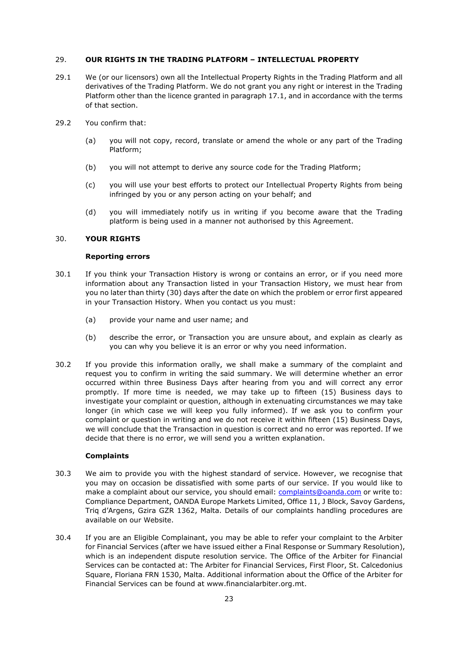## 29. **OUR RIGHTS IN THE TRADING PLATFORM – INTELLECTUAL PROPERTY**

- 29.1 We (or our licensors) own all the Intellectual Property Rights in the Trading Platform and all derivatives of the Trading Platform. We do not grant you any right or interest in the Trading Platform other than the licence granted in paragraph [17.1,](#page-13-0) and in accordance with the terms of that section.
- 29.2 You confirm that:
	- (a) you will not copy, record, translate or amend the whole or any part of the Trading Platform;
	- (b) you will not attempt to derive any source code for the Trading Platform;
	- (c) you will use your best efforts to protect our Intellectual Property Rights from being infringed by you or any person acting on your behalf; and
	- (d) you will immediately notify us in writing if you become aware that the Trading platform is being used in a manner not authorised by this Agreement.

## 30. **YOUR RIGHTS**

## **Reporting errors**

- 30.1 If you think your Transaction History is wrong or contains an error, or if you need more information about any Transaction listed in your Transaction History, we must hear from you no later than thirty (30) days after the date on which the problem or error first appeared in your Transaction History. When you contact us you must:
	- (a) provide your name and user name; and
	- (b) describe the error, or Transaction you are unsure about, and explain as clearly as you can why you believe it is an error or why you need information.
- 30.2 If you provide this information orally, we shall make a summary of the complaint and request you to confirm in writing the said summary. We will determine whether an error occurred within three Business Days after hearing from you and will correct any error promptly. If more time is needed, we may take up to fifteen (15) Business days to investigate your complaint or question, although in extenuating circumstances we may take longer (in which case we will keep you fully informed). If we ask you to confirm your complaint or question in writing and we do not receive it within fifteen (15) Business Days, we will conclude that the Transaction in question is correct and no error was reported. If we decide that there is no error, we will send you a written explanation.

## **Complaints**

- 30.3 We aim to provide you with the highest standard of service. However, we recognise that you may on occasion be dissatisfied with some parts of our service. If you would like to make a complaint about our service, you should email: [complaints@oanda.com](mailto:disputes@oanda.com) or write to: Compliance Department, OANDA Europe Markets Limited, Office 11, J Block, Savoy Gardens, Triq d'Argens, Gzira GZR 1362, Malta. Details of our complaints handling procedures are available on our Website.
- 30.4 If you are an Eligible Complainant, you may be able to refer your complaint to the Arbiter for Financial Services (after we have issued either a Final Response or Summary Resolution), which is an independent dispute resolution service. The Office of the Arbiter for Financial Services can be contacted at: The Arbiter for Financial Services, First Floor, St. Calcedonius Square, Floriana FRN 1530, Malta. Additional information about the Office of the Arbiter for Financial Services can be found at www.financialarbiter.org.mt.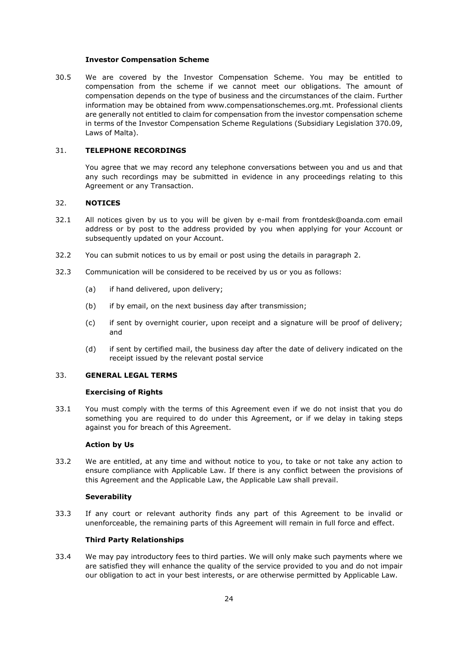#### **Investor Compensation Scheme**

30.5 We are covered by the Investor Compensation Scheme. You may be entitled to compensation from the scheme if we cannot meet our obligations. The amount of compensation depends on the type of business and the circumstances of the claim. Further information may be obtained from [www.compensationschemes.org.mt.](http://www.compensationschemes.org.mt/) Professional clients are generally not entitled to claim for compensation from the investor compensation scheme in terms of the Investor Compensation Scheme Regulations (Subsidiary Legislation 370.09, Laws of Malta).

#### 31. **TELEPHONE RECORDINGS**

You agree that we may record any telephone conversations between you and us and that any such recordings may be submitted in evidence in any proceedings relating to this Agreement or any Transaction.

## 32. **NOTICES**

- 32.1 All notices given by us to you will be given by e-mail from frontdesk@oanda.com email address or by post to the address provided by you when applying for your Account or subsequently updated on your Account.
- 32.2 You can submit notices to us by email or post using the details in paragraph [2.](#page-1-0)
- <span id="page-23-0"></span>32.3 Communication will be considered to be received by us or you as follows:
	- (a) if hand delivered, upon delivery;
	- (b) if by email, on the next business day after transmission;
	- (c) if sent by overnight courier, upon receipt and a signature will be proof of delivery; and
	- (d) if sent by certified mail, the business day after the date of delivery indicated on the receipt issued by the relevant postal service

#### 33. **GENERAL LEGAL TERMS**

#### **Exercising of Rights**

33.1 You must comply with the terms of this Agreement even if we do not insist that you do something you are required to do under this Agreement, or if we delay in taking steps against you for breach of this Agreement.

#### **Action by Us**

33.2 We are entitled, at any time and without notice to you, to take or not take any action to ensure compliance with Applicable Law. If there is any conflict between the provisions of this Agreement and the Applicable Law, the Applicable Law shall prevail.

## **Severability**

33.3 If any court or relevant authority finds any part of this Agreement to be invalid or unenforceable, the remaining parts of this Agreement will remain in full force and effect.

## **Third Party Relationships**

33.4 We may pay introductory fees to third parties. We will only make such payments where we are satisfied they will enhance the quality of the service provided to you and do not impair our obligation to act in your best interests, or are otherwise permitted by Applicable Law.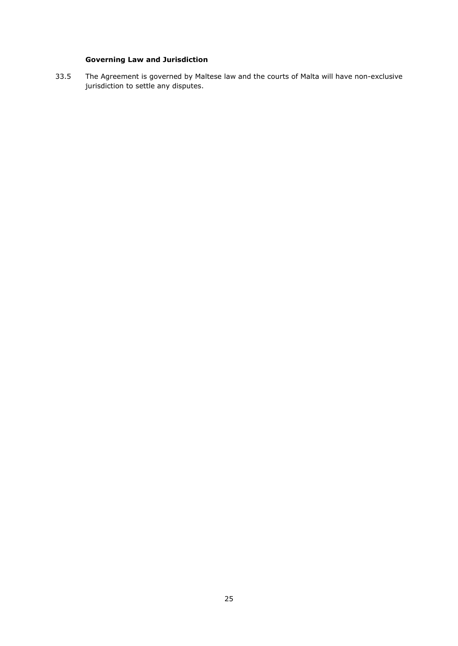# **Governing Law and Jurisdiction**

33.5 The Agreement is governed by Maltese law and the courts of Malta will have non-exclusive jurisdiction to settle any disputes.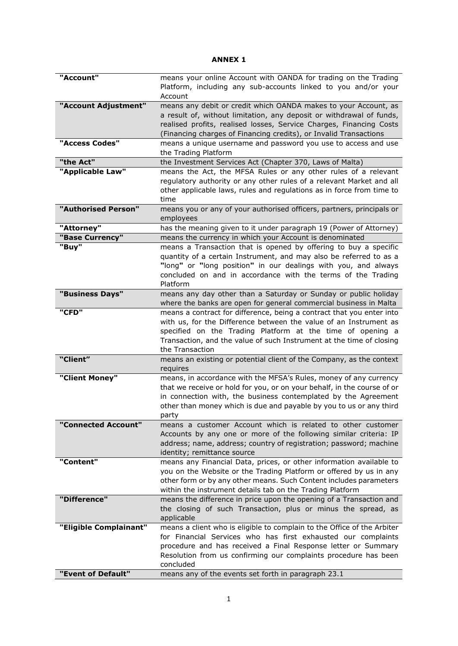# **ANNEX 1**

| "Account"              | means your online Account with OANDA for trading on the Trading<br>Platform, including any sub-accounts linked to you and/or your<br>Account                                                                                                                                                        |
|------------------------|-----------------------------------------------------------------------------------------------------------------------------------------------------------------------------------------------------------------------------------------------------------------------------------------------------|
| "Account Adjustment"   | means any debit or credit which OANDA makes to your Account, as<br>a result of, without limitation, any deposit or withdrawal of funds,<br>realised profits, realised losses, Service Charges, Financing Costs<br>(Financing charges of Financing credits), or Invalid Transactions                 |
| "Access Codes"         | means a unique username and password you use to access and use<br>the Trading Platform                                                                                                                                                                                                              |
| "the Act"              | the Investment Services Act (Chapter 370, Laws of Malta)                                                                                                                                                                                                                                            |
| "Applicable Law"       | means the Act, the MFSA Rules or any other rules of a relevant<br>regulatory authority or any other rules of a relevant Market and all<br>other applicable laws, rules and regulations as in force from time to<br>time                                                                             |
| "Authorised Person"    | means you or any of your authorised officers, partners, principals or<br>employees                                                                                                                                                                                                                  |
| "Attorney"             | has the meaning given to it under paragraph 19 (Power of Attorney)                                                                                                                                                                                                                                  |
| "Base Currency"        | means the currency in which your Account is denominated                                                                                                                                                                                                                                             |
| "Buy"                  | means a Transaction that is opened by offering to buy a specific<br>quantity of a certain Instrument, and may also be referred to as a<br>"long" or "long position" in our dealings with you, and always<br>concluded on and in accordance with the terms of the Trading<br>Platform                |
| "Business Days"        | means any day other than a Saturday or Sunday or public holiday<br>where the banks are open for general commercial business in Malta                                                                                                                                                                |
| "CFD"                  | means a contract for difference, being a contract that you enter into<br>with us, for the Difference between the value of an Instrument as<br>specified on the Trading Platform at the time of opening a<br>Transaction, and the value of such Instrument at the time of closing<br>the Transaction |
| "Client"               | means an existing or potential client of the Company, as the context<br>requires                                                                                                                                                                                                                    |
| "Client Money"         | means, in accordance with the MFSA's Rules, money of any currency<br>that we receive or hold for you, or on your behalf, in the course of or<br>in connection with, the business contemplated by the Agreement<br>other than money which is due and payable by you to us or any third<br>party      |
| "Connected Account"    | means a customer Account which is related to other customer<br>Accounts by any one or more of the following similar criteria: IP<br>address; name, address; country of registration; password; machine<br>identity; remittance source                                                               |
| "Content"              | means any Financial Data, prices, or other information available to<br>you on the Website or the Trading Platform or offered by us in any<br>other form or by any other means. Such Content includes parameters<br>within the instrument details tab on the Trading Platform                        |
| "Difference"           | means the difference in price upon the opening of a Transaction and<br>the closing of such Transaction, plus or minus the spread, as<br>applicable                                                                                                                                                  |
| "Eligible Complainant" | means a client who is eligible to complain to the Office of the Arbiter                                                                                                                                                                                                                             |
|                        | for Financial Services who has first exhausted our complaints<br>procedure and has received a Final Response letter or Summary<br>Resolution from us confirming our complaints procedure has been                                                                                                   |
|                        | concluded                                                                                                                                                                                                                                                                                           |
| "Event of Default"     | means any of the events set forth in paragraph 23.1                                                                                                                                                                                                                                                 |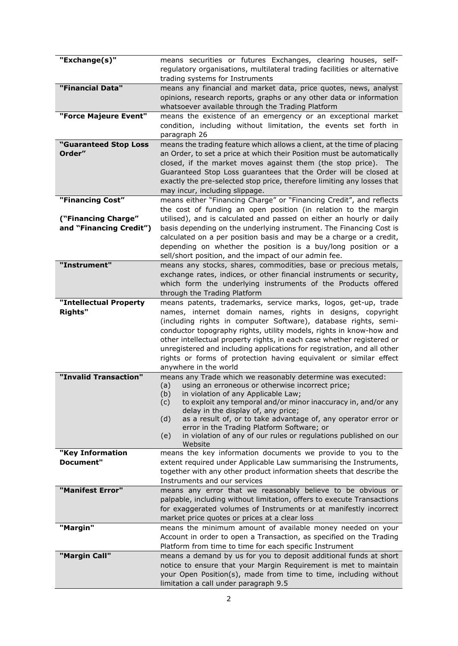| "Exchange(s)"                        | means securities or futures Exchanges, clearing houses, self-                                                                             |
|--------------------------------------|-------------------------------------------------------------------------------------------------------------------------------------------|
|                                      | regulatory organisations, multilateral trading facilities or alternative<br>trading systems for Instruments                               |
| "Financial Data"                     | means any financial and market data, price quotes, news, analyst                                                                          |
|                                      | opinions, research reports, graphs or any other data or information                                                                       |
|                                      | whatsoever available through the Trading Platform                                                                                         |
| "Force Majeure Event"                | means the existence of an emergency or an exceptional market<br>condition, including without limitation, the events set forth in          |
|                                      | paragraph 26                                                                                                                              |
| "Guaranteed Stop Loss                | means the trading feature which allows a client, at the time of placing                                                                   |
| Order"                               | an Order, to set a price at which their Position must be automatically                                                                    |
|                                      | closed, if the market moves against them (the stop price). The<br>Guaranteed Stop Loss guarantees that the Order will be closed at        |
|                                      | exactly the pre-selected stop price, therefore limiting any losses that                                                                   |
|                                      | may incur, including slippage.                                                                                                            |
| "Financing Cost"                     | means either "Financing Charge" or "Financing Credit", and reflects                                                                       |
| ("Financing Charge"                  | the cost of funding an open position (in relation to the margin<br>utilised), and is calculated and passed on either an hourly or daily   |
| and "Financing Credit")              | basis depending on the underlying instrument. The Financing Cost is                                                                       |
|                                      | calculated on a per position basis and may be a charge or a credit,                                                                       |
|                                      | depending on whether the position is a buy/long position or a                                                                             |
| "Instrument"                         | sell/short position, and the impact of our admin fee.<br>means any stocks, shares, commodities, base or precious metals,                  |
|                                      | exchange rates, indices, or other financial instruments or security,                                                                      |
|                                      | which form the underlying instruments of the Products offered                                                                             |
|                                      | through the Trading Platform                                                                                                              |
| "Intellectual Property               | means patents, trademarks, service marks, logos, get-up, trade                                                                            |
| <b>Rights"</b>                       | names, internet domain names, rights in designs, copyright<br>(including rights in computer Software), database rights, semi-             |
|                                      | conductor topography rights, utility models, rights in know-how and                                                                       |
|                                      | other intellectual property rights, in each case whether registered or                                                                    |
|                                      | unregistered and including applications for registration, and all other                                                                   |
|                                      | rights or forms of protection having equivalent or similar effect<br>anywhere in the world                                                |
| "Invalid Transaction"                | means any Trade which we reasonably determine was executed:                                                                               |
|                                      | using an erroneous or otherwise incorrect price;<br>(a)                                                                                   |
|                                      | (b)<br>in violation of any Applicable Law;<br>to exploit any temporal and/or minor inaccuracy in, and/or any<br>(c)                       |
|                                      | delay in the display of, any price;                                                                                                       |
|                                      | as a result of, or to take advantage of, any operator error or<br>(d)<br>error in the Trading Platform Software; or                       |
|                                      | in violation of any of our rules or regulations published on our<br>(e)                                                                   |
|                                      | Website                                                                                                                                   |
| "Key Information<br><b>Document"</b> | means the key information documents we provide to you to the                                                                              |
|                                      | extent required under Applicable Law summarising the Instruments,<br>together with any other product information sheets that describe the |
|                                      | Instruments and our services                                                                                                              |
| "Manifest Error"                     | means any error that we reasonably believe to be obvious or                                                                               |
|                                      | palpable, including without limitation, offers to execute Transactions                                                                    |
|                                      | for exaggerated volumes of Instruments or at manifestly incorrect<br>market price quotes or prices at a clear loss                        |
| "Margin"                             | means the minimum amount of available money needed on your                                                                                |
|                                      | Account in order to open a Transaction, as specified on the Trading                                                                       |
|                                      | Platform from time to time for each specific Instrument                                                                                   |
| "Margin Call"                        | means a demand by us for you to deposit additional funds at short                                                                         |
|                                      | notice to ensure that your Margin Requirement is met to maintain<br>your Open Position(s), made from time to time, including without      |
|                                      | limitation a call under paragraph 9.5                                                                                                     |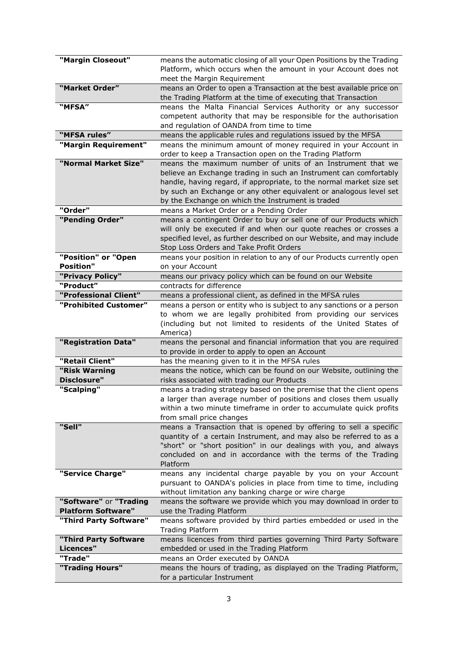| "Margin Closeout"         | means the automatic closing of all your Open Positions by the Trading                          |
|---------------------------|------------------------------------------------------------------------------------------------|
|                           | Platform, which occurs when the amount in your Account does not                                |
|                           | meet the Margin Requirement                                                                    |
| "Market Order"            | means an Order to open a Transaction at the best available price on                            |
|                           | the Trading Platform at the time of executing that Transaction                                 |
| "MFSA"                    | means the Malta Financial Services Authority or any successor                                  |
|                           | competent authority that may be responsible for the authorisation                              |
|                           | and regulation of OANDA from time to time                                                      |
| "MFSA rules"              | means the applicable rules and regulations issued by the MFSA                                  |
| "Margin Requirement"      | means the minimum amount of money required in your Account in                                  |
|                           | order to keep a Transaction open on the Trading Platform                                       |
| "Normal Market Size"      | means the maximum number of units of an Instrument that we                                     |
|                           | believe an Exchange trading in such an Instrument can comfortably                              |
|                           | handle, having regard, if appropriate, to the normal market size set                           |
|                           | by such an Exchange or any other equivalent or analogous level set                             |
|                           | by the Exchange on which the Instrument is traded                                              |
| "Order"                   | means a Market Order or a Pending Order                                                        |
| "Pending Order"           | means a contingent Order to buy or sell one of our Products which                              |
|                           | will only be executed if and when our quote reaches or crosses a                               |
|                           | specified level, as further described on our Website, and may include                          |
|                           | Stop Loss Orders and Take Profit Orders                                                        |
| "Position" or "Open       | means your position in relation to any of our Products currently open                          |
| <b>Position"</b>          | on your Account                                                                                |
| "Privacy Policy"          | means our privacy policy which can be found on our Website                                     |
| "Product"                 | contracts for difference                                                                       |
| "Professional Client"     | means a professional client, as defined in the MFSA rules                                      |
| "Prohibited Customer"     | means a person or entity who is subject to any sanctions or a person                           |
|                           | to whom we are legally prohibited from providing our services                                  |
|                           | (including but not limited to residents of the United States of                                |
|                           | America)                                                                                       |
| "Registration Data"       | means the personal and financial information that you are required                             |
| "Retail Client"           | to provide in order to apply to open an Account                                                |
| "Risk Warning             | has the meaning given to it in the MFSA rules                                                  |
| <b>Disclosure"</b>        | means the notice, which can be found on our Website, outlining the                             |
|                           | risks associated with trading our Products                                                     |
| "Scalping"                | means a trading strategy based on the premise that the client opens                            |
|                           | a larger than average number of positions and closes them usually                              |
|                           | within a two minute timeframe in order to accumulate quick profits<br>from small price changes |
| "Sell"                    | means a Transaction that is opened by offering to sell a specific                              |
|                           | quantity of a certain Instrument, and may also be referred to as a                             |
|                           | "short" or "short position" in our dealings with you, and always                               |
|                           | concluded on and in accordance with the terms of the Trading                                   |
|                           | Platform                                                                                       |
| "Service Charge"          | means any incidental charge payable by you on your Account                                     |
|                           | pursuant to OANDA's policies in place from time to time, including                             |
|                           | without limitation any banking charge or wire charge                                           |
| "Software" or "Trading    | means the software we provide which you may download in order to                               |
| <b>Platform Software"</b> | use the Trading Platform                                                                       |
| "Third Party Software"    | means software provided by third parties embedded or used in the                               |
|                           | <b>Trading Platform</b>                                                                        |
| "Third Party Software     | means licences from third parties governing Third Party Software                               |
| Licences"                 | embedded or used in the Trading Platform                                                       |
| "Trade"                   | means an Order executed by OANDA                                                               |
| "Trading Hours"           | means the hours of trading, as displayed on the Trading Platform,                              |
|                           | for a particular Instrument                                                                    |